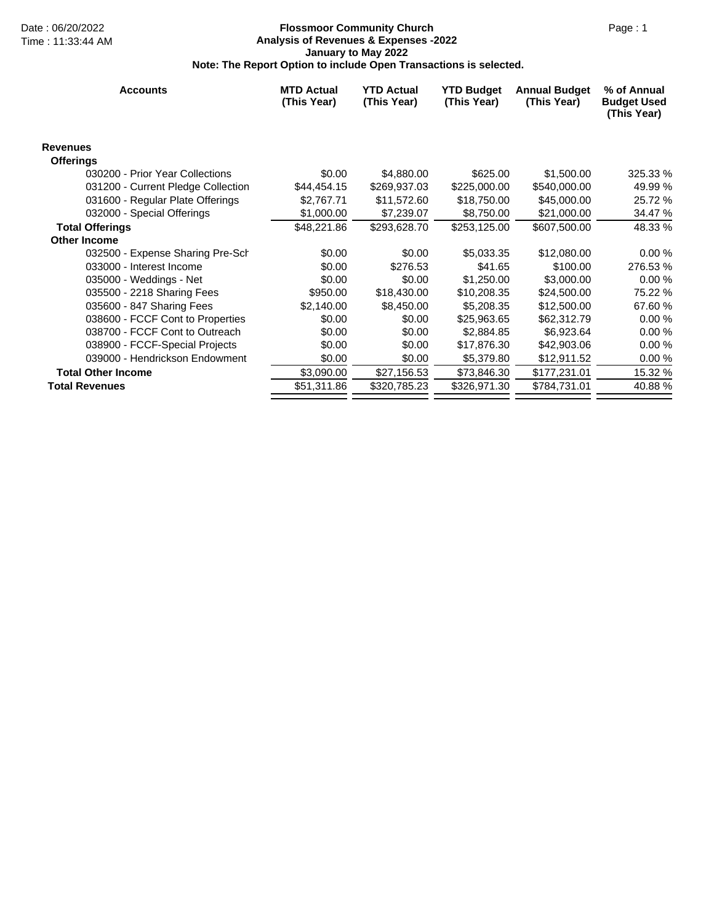### Date : 06/20/2022 Page : 1 **Flossmoor Community Church Analysis of Revenues & Expenses -2022 January to May 2022 Note: The Report Option to include Open Transactions is selected.**

| <b>Accounts</b>                    | <b>MTD Actual</b><br>(This Year) | <b>YTD Actual</b><br>(This Year) | <b>YTD Budget</b><br>(This Year) | <b>Annual Budget</b><br>(This Year) | % of Annual<br><b>Budget Used</b><br>(This Year) |
|------------------------------------|----------------------------------|----------------------------------|----------------------------------|-------------------------------------|--------------------------------------------------|
| <b>Revenues</b>                    |                                  |                                  |                                  |                                     |                                                  |
| <b>Offerings</b>                   |                                  |                                  |                                  |                                     |                                                  |
| 030200 - Prior Year Collections    | \$0.00                           | \$4,880.00                       | \$625.00                         | \$1,500.00                          | 325.33 %                                         |
| 031200 - Current Pledge Collection | \$44,454.15                      | \$269,937.03                     | \$225,000.00                     | \$540,000.00                        | 49.99 %                                          |
| 031600 - Regular Plate Offerings   | \$2,767.71                       | \$11,572.60                      | \$18,750.00                      | \$45,000.00                         | 25.72 %                                          |
| 032000 - Special Offerings         | \$1,000.00                       | \$7,239.07                       | \$8,750.00                       | \$21,000.00                         | 34.47 %                                          |
| <b>Total Offerings</b>             | \$48,221.86                      | \$293,628.70                     | \$253,125.00                     | \$607,500.00                        | 48.33 %                                          |
| <b>Other Income</b>                |                                  |                                  |                                  |                                     |                                                  |
| 032500 - Expense Sharing Pre-Sch   | \$0.00                           | \$0.00                           | \$5,033.35                       | \$12,080.00                         | 0.00%                                            |
| 033000 - Interest Income           | \$0.00                           | \$276.53                         | \$41.65                          | \$100.00                            | 276.53 %                                         |
| 035000 - Weddings - Net            | \$0.00                           | \$0.00                           | \$1,250.00                       | \$3,000.00                          | 0.00%                                            |
| 035500 - 2218 Sharing Fees         | \$950.00                         | \$18,430.00                      | \$10,208.35                      | \$24,500.00                         | 75.22 %                                          |
| 035600 - 847 Sharing Fees          | \$2,140.00                       | \$8,450.00                       | \$5,208.35                       | \$12,500.00                         | 67.60 %                                          |
| 038600 - FCCF Cont to Properties   | \$0.00                           | \$0.00                           | \$25,963.65                      | \$62,312.79                         | 0.00%                                            |
| 038700 - FCCF Cont to Outreach     | \$0.00                           | \$0.00                           | \$2,884.85                       | \$6,923.64                          | 0.00%                                            |
| 038900 - FCCF-Special Projects     | \$0.00                           | \$0.00                           | \$17,876.30                      | \$42,903.06                         | 0.00%                                            |
| 039000 - Hendrickson Endowment     | \$0.00                           | \$0.00                           | \$5,379.80                       | \$12,911.52                         | 0.00%                                            |
| <b>Total Other Income</b>          | \$3,090.00                       | \$27,156.53                      | \$73,846.30                      | \$177,231.01                        | 15.32 %                                          |
| <b>Total Revenues</b>              | \$51,311.86                      | \$320,785.23                     | \$326,971.30                     | \$784,731.01                        | 40.88%                                           |
|                                    |                                  |                                  |                                  |                                     |                                                  |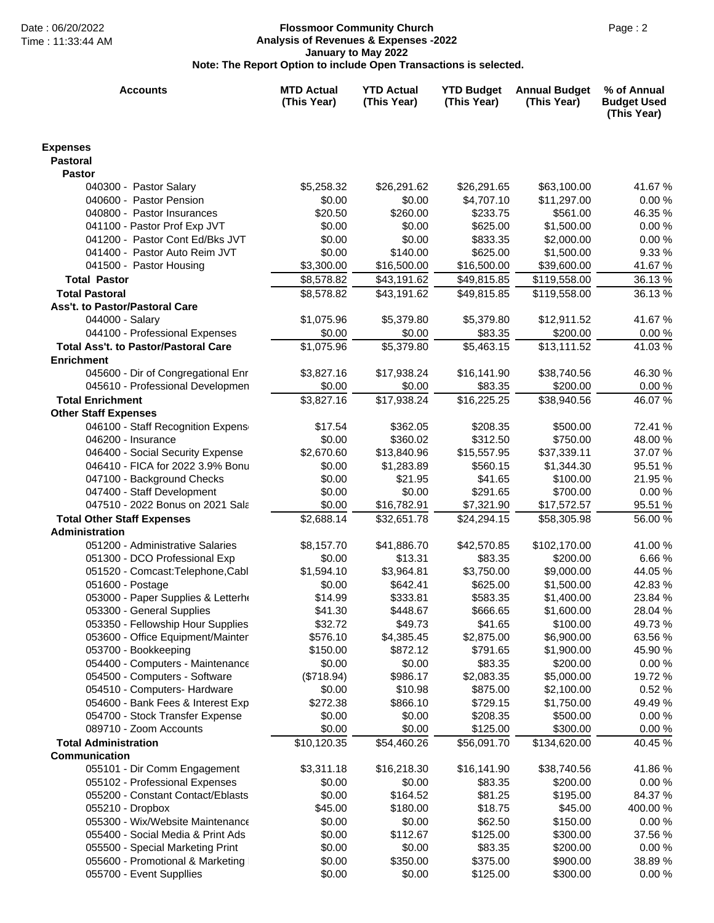### Date : 06/20/2022 Page : 2 **Flossmoor Community Church Analysis of Revenues & Expenses -2022 January to May 2022 Note: The Report Option to include Open Transactions is selected.**

| <b>Accounts</b>                                           | <b>MTD Actual</b><br>(This Year) | <b>YTD Actual</b><br>(This Year) | <b>YTD Budget</b><br>(This Year) | <b>Annual Budget</b><br>(This Year) | % of Annual<br><b>Budget Used</b><br>(This Year) |
|-----------------------------------------------------------|----------------------------------|----------------------------------|----------------------------------|-------------------------------------|--------------------------------------------------|
| <b>Expenses</b>                                           |                                  |                                  |                                  |                                     |                                                  |
| <b>Pastoral</b>                                           |                                  |                                  |                                  |                                     |                                                  |
| <b>Pastor</b>                                             |                                  |                                  |                                  |                                     |                                                  |
| 040300 - Pastor Salary                                    | \$5,258.32                       | \$26,291.62                      | \$26,291.65                      | \$63,100.00                         | 41.67 %                                          |
| 040600 - Pastor Pension                                   | \$0.00                           | \$0.00                           | \$4,707.10                       | \$11,297.00                         | 0.00%                                            |
| 040800 - Pastor Insurances                                | \$20.50                          | \$260.00                         | \$233.75                         | \$561.00                            | 46.35 %                                          |
| 041100 - Pastor Prof Exp JVT                              | \$0.00                           | \$0.00                           | \$625.00                         | \$1,500.00                          | 0.00%                                            |
| 041200 - Pastor Cont Ed/Bks JVT                           | \$0.00                           | \$0.00                           | \$833.35                         | \$2,000.00                          | 0.00 %                                           |
| 041400 - Pastor Auto Reim JVT                             | \$0.00                           | \$140.00                         | \$625.00                         | \$1,500.00                          | 9.33 %                                           |
| 041500 - Pastor Housing                                   | \$3,300.00                       | \$16,500.00                      | \$16,500.00                      | \$39,600.00                         | 41.67 %                                          |
| <b>Total Pastor</b>                                       | \$8,578.82                       | \$43,191.62                      | \$49,815.85                      | \$119,558.00                        | 36.13%                                           |
| <b>Total Pastoral</b>                                     | \$8,578.82                       | \$43,191.62                      | \$49,815.85                      | \$119,558.00                        | 36.13 %                                          |
| Ass't. to Pastor/Pastoral Care                            |                                  |                                  | \$5,379.80                       |                                     |                                                  |
| 044000 - Salary<br>044100 - Professional Expenses         | \$1,075.96<br>\$0.00             | \$5,379.80                       |                                  | \$12,911.52                         | 41.67 %                                          |
| <b>Total Ass't, to Pastor/Pastoral Care</b>               | \$1,075.96                       | \$0.00<br>\$5,379.80             | \$83.35<br>\$5,463.15            | \$200.00<br>\$13,111.52             | 0.00%<br>41.03%                                  |
| <b>Enrichment</b>                                         |                                  |                                  |                                  |                                     |                                                  |
| 045600 - Dir of Congregational Enr                        | \$3,827.16                       | \$17,938.24                      | \$16,141.90                      | \$38,740.56                         | 46.30 %                                          |
| 045610 - Professional Developmen                          | \$0.00                           | \$0.00                           | \$83.35                          | \$200.00                            | 0.00%                                            |
| <b>Total Enrichment</b>                                   | \$3,827.16                       | \$17,938.24                      | \$16,225.25                      | \$38,940.56                         | 46.07 %                                          |
| <b>Other Staff Expenses</b>                               |                                  |                                  |                                  |                                     |                                                  |
| 046100 - Staff Recognition Expens                         | \$17.54                          | \$362.05                         | \$208.35                         | \$500.00                            | 72.41 %                                          |
| 046200 - Insurance                                        | \$0.00                           | \$360.02                         | \$312.50                         | \$750.00                            | 48.00 %                                          |
| 046400 - Social Security Expense                          | \$2,670.60                       | \$13,840.96                      | \$15,557.95                      | \$37,339.11                         | 37.07 %                                          |
| 046410 - FICA for 2022 3.9% Bonu                          | \$0.00                           | \$1,283.89                       | \$560.15                         | \$1,344.30                          | 95.51 %                                          |
| 047100 - Background Checks                                | \$0.00                           | \$21.95                          | \$41.65                          | \$100.00                            | 21.95 %                                          |
| 047400 - Staff Development                                | \$0.00                           | \$0.00                           | \$291.65                         | \$700.00                            | 0.00%                                            |
| 047510 - 2022 Bonus on 2021 Sala                          | \$0.00                           | \$16,782.91                      | \$7,321.90                       | \$17,572.57                         | 95.51 %                                          |
| <b>Total Other Staff Expenses</b>                         | \$2,688.14                       | \$32,651.78                      | \$24,294.15                      | \$58,305.98                         | 56.00 %                                          |
| <b>Administration</b>                                     |                                  |                                  |                                  |                                     |                                                  |
| 051200 - Administrative Salaries                          | \$8,157.70                       | \$41,886.70                      | \$42,570.85                      | \$102,170.00                        | 41.00 %                                          |
| 051300 - DCO Professional Exp                             | \$0.00                           | \$13.31                          | \$83.35                          | \$200.00                            | 6.66 %                                           |
| 051520 - Comcast: Telephone, Cabl                         | \$1,594.10                       | \$3,964.81                       | \$3,750.00                       | \$9,000.00                          | 44.05 %                                          |
| 051600 - Postage                                          | \$0.00                           | \$642.41                         | \$625.00                         | \$1,500.00                          | 42.83%                                           |
| 053000 - Paper Supplies & Letterhe                        | \$14.99                          | \$333.81                         | \$583.35                         | \$1,400.00                          | 23.84 %                                          |
| 053300 - General Supplies                                 | \$41.30                          | \$448.67                         | \$666.65                         | \$1,600.00                          | 28.04 %                                          |
| 053350 - Fellowship Hour Supplies                         | \$32.72                          | \$49.73                          | \$41.65                          | \$100.00                            | 49.73 %                                          |
| 053600 - Office Equipment/Mainter<br>053700 - Bookkeeping | \$576.10<br>\$150.00             | \$4,385.45<br>\$872.12           | \$2,875.00<br>\$791.65           | \$6,900.00                          | 63.56 %                                          |
| 054400 - Computers - Maintenance                          | \$0.00                           | \$0.00                           | \$83.35                          | \$1,900.00<br>\$200.00              | 45.90 %<br>0.00%                                 |
| 054500 - Computers - Software                             | (\$718.94)                       | \$986.17                         | \$2,083.35                       | \$5,000.00                          | 19.72 %                                          |
| 054510 - Computers- Hardware                              | \$0.00                           | \$10.98                          | \$875.00                         | \$2,100.00                          | 0.52 %                                           |
| 054600 - Bank Fees & Interest Exp                         | \$272.38                         | \$866.10                         | \$729.15                         | \$1,750.00                          | 49.49 %                                          |
| 054700 - Stock Transfer Expense                           | \$0.00                           | \$0.00                           | \$208.35                         | \$500.00                            | 0.00%                                            |
| 089710 - Zoom Accounts                                    | \$0.00                           | \$0.00                           | \$125.00                         | \$300.00                            | 0.00 %                                           |
| <b>Total Administration</b>                               | \$10,120.35                      | \$54,460.26                      | \$56,091.70                      | \$134,620.00                        | 40.45 %                                          |
| Communication                                             |                                  |                                  |                                  |                                     |                                                  |
| 055101 - Dir Comm Engagement                              | \$3,311.18                       | \$16,218.30                      | \$16,141.90                      | \$38,740.56                         | 41.86 %                                          |
| 055102 - Professional Expenses                            | \$0.00                           | \$0.00                           | \$83.35                          | \$200.00                            | 0.00%                                            |
| 055200 - Constant Contact/Eblasts                         | \$0.00                           | \$164.52                         | \$81.25                          | \$195.00                            | 84.37 %                                          |
| 055210 - Dropbox                                          | \$45.00                          | \$180.00                         | \$18.75                          | \$45.00                             | 400.00 %                                         |
| 055300 - Wix/Website Maintenance                          | \$0.00                           | \$0.00                           | \$62.50                          | \$150.00                            | 0.00%                                            |
| 055400 - Social Media & Print Ads                         | \$0.00                           | \$112.67                         | \$125.00                         | \$300.00                            | 37.56 %                                          |
| 055500 - Special Marketing Print                          | \$0.00                           | \$0.00                           | \$83.35                          | \$200.00                            | 0.00%                                            |
| 055600 - Promotional & Marketing                          | \$0.00                           | \$350.00                         | \$375.00                         | \$900.00                            | 38.89 %                                          |
| 055700 - Event Suppllies                                  | \$0.00                           | \$0.00                           | \$125.00                         | \$300.00                            | 0.00%                                            |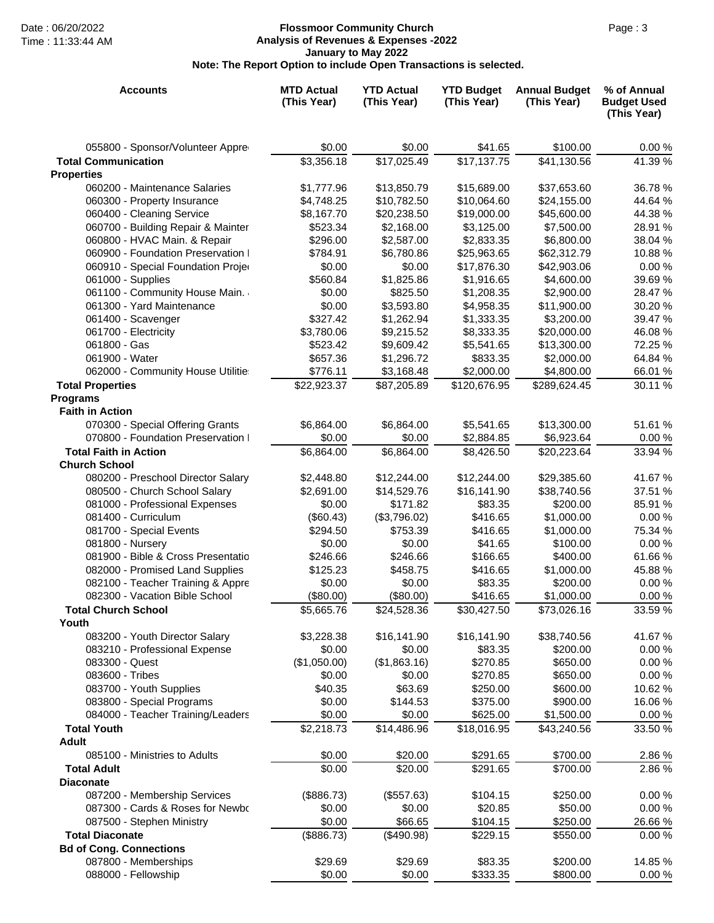# Date : 06/20/2022 Page : 3 **Flossmoor Community Church Analysis of Revenues & Expenses -2022 January to May 2022 Note: The Report Option to include Open Transactions is selected.**

| <b>Accounts</b>                                                     | <b>MTD Actual</b><br>(This Year) | <b>YTD Actual</b><br>(This Year) | <b>YTD Budget</b><br>(This Year) | <b>Annual Budget</b><br>(This Year) | % of Annual<br><b>Budget Used</b><br>(This Year) |
|---------------------------------------------------------------------|----------------------------------|----------------------------------|----------------------------------|-------------------------------------|--------------------------------------------------|
| 055800 - Sponsor/Volunteer Appre                                    | \$0.00                           | \$0.00                           | \$41.65                          | \$100.00                            | 0.00%                                            |
| <b>Total Communication</b>                                          | \$3,356.18                       | $\overline{$17,025.49}$          | \$17,137.75                      | \$41,130.56                         | 41.39 %                                          |
| <b>Properties</b>                                                   |                                  |                                  |                                  |                                     |                                                  |
| 060200 - Maintenance Salaries                                       | \$1,777.96                       | \$13,850.79                      | \$15,689.00                      | \$37,653.60                         | 36.78 %                                          |
| 060300 - Property Insurance                                         | \$4,748.25                       | \$10,782.50                      | \$10,064.60                      | \$24,155.00                         | 44.64 %                                          |
| 060400 - Cleaning Service                                           | \$8,167.70                       | \$20,238.50                      | \$19,000.00                      | \$45,600.00                         | 44.38 %                                          |
| 060700 - Building Repair & Mainter                                  | \$523.34                         | \$2,168.00                       | \$3,125.00                       | \$7,500.00                          | 28.91 %                                          |
| 060800 - HVAC Main. & Repair<br>060900 - Foundation Preservation I  | \$296.00                         | \$2,587.00<br>\$6,780.86         | \$2,833.35                       | \$6,800.00<br>\$62,312.79           | 38.04 %<br>10.88%                                |
| 060910 - Special Foundation Projeo                                  | \$784.91<br>\$0.00               | \$0.00                           | \$25,963.65<br>\$17,876.30       | \$42,903.06                         | 0.00%                                            |
| 061000 - Supplies                                                   | \$560.84                         | \$1,825.86                       | \$1,916.65                       | \$4,600.00                          | 39.69 %                                          |
| 061100 - Community House Main.                                      | \$0.00                           | \$825.50                         | \$1,208.35                       | \$2,900.00                          | 28.47 %                                          |
| 061300 - Yard Maintenance                                           | \$0.00                           | \$3,593.80                       | \$4,958.35                       | \$11,900.00                         | 30.20 %                                          |
| 061400 - Scavenger                                                  | \$327.42                         | \$1,262.94                       | \$1,333.35                       | \$3,200.00                          | 39.47 %                                          |
| 061700 - Electricity                                                | \$3,780.06                       | \$9,215.52                       | \$8,333.35                       | \$20,000.00                         | 46.08%                                           |
| 061800 - Gas                                                        | \$523.42                         | \$9,609.42                       | \$5,541.65                       | \$13,300.00                         | 72.25 %                                          |
| 061900 - Water                                                      | \$657.36                         | \$1,296.72                       | \$833.35                         | \$2,000.00                          | 64.84 %                                          |
| 062000 - Community House Utilitie:                                  | \$776.11                         | \$3,168.48                       | \$2,000.00                       | \$4,800.00                          | 66.01 %                                          |
| <b>Total Properties</b>                                             | \$22,923.37                      | \$87,205.89                      | \$120,676.95                     | \$289,624.45                        | 30.11 %                                          |
| <b>Programs</b>                                                     |                                  |                                  |                                  |                                     |                                                  |
| <b>Faith in Action</b>                                              |                                  |                                  |                                  |                                     |                                                  |
| 070300 - Special Offering Grants                                    | \$6,864.00                       | \$6,864.00                       | \$5,541.65                       | \$13,300.00                         | 51.61 %                                          |
| 070800 - Foundation Preservation I                                  | \$0.00                           | \$0.00                           | \$2,884.85                       | \$6,923.64                          | 0.00%                                            |
| <b>Total Faith in Action</b>                                        | \$6,864.00                       | \$6,864.00                       | \$8,426.50                       | \$20,223.64                         | 33.94 %                                          |
| <b>Church School</b>                                                |                                  |                                  |                                  |                                     |                                                  |
| 080200 - Preschool Director Salary                                  | \$2,448.80                       | \$12,244.00                      | \$12,244.00                      | \$29,385.60                         | 41.67%                                           |
| 080500 - Church School Salary                                       | \$2,691.00                       | \$14,529.76                      | \$16,141.90                      | \$38,740.56                         | 37.51 %                                          |
| 081000 - Professional Expenses                                      | \$0.00                           | \$171.82                         | \$83.35                          | \$200.00                            | 85.91 %                                          |
| 081400 - Curriculum                                                 | (\$60.43)                        | (\$3,796.02)                     | \$416.65                         | \$1,000.00                          | 0.00%                                            |
| 081700 - Special Events                                             | \$294.50                         | \$753.39                         | \$416.65                         | \$1,000.00                          | 75.34 %                                          |
| 081800 - Nursery                                                    | \$0.00                           | \$0.00                           | \$41.65                          | \$100.00                            | 0.00 %                                           |
| 081900 - Bible & Cross Presentatio                                  | \$246.66                         | \$246.66                         | \$166.65                         | \$400.00                            | 61.66%                                           |
| 082000 - Promised Land Supplies                                     | \$125.23                         | \$458.75                         | \$416.65                         | \$1,000.00                          | 45.88%                                           |
| 082100 - Teacher Training & Appre<br>082300 - Vacation Bible School | \$0.00                           | \$0.00                           | \$83.35                          | \$200.00                            | 0.00%                                            |
|                                                                     | (\$80.00)<br>\$5,665.76          | (\$80.00)<br>\$24,528.36         | \$416.65<br>\$30,427.50          | \$1,000.00                          | 0.00%<br>33.59 %                                 |
| <b>Total Church School</b><br>Youth                                 |                                  |                                  |                                  | \$73,026.16                         |                                                  |
| 083200 - Youth Director Salary                                      | \$3,228.38                       | \$16,141.90                      | \$16,141.90                      | \$38,740.56                         | 41.67%                                           |
| 083210 - Professional Expense                                       | \$0.00                           | \$0.00                           | \$83.35                          | \$200.00                            | 0.00%                                            |
| 083300 - Quest                                                      | (\$1,050.00)                     | (\$1,863.16)                     | \$270.85                         | \$650.00                            | 0.00%                                            |
| 083600 - Tribes                                                     | \$0.00                           | \$0.00                           | \$270.85                         | \$650.00                            | 0.00%                                            |
| 083700 - Youth Supplies                                             | \$40.35                          | \$63.69                          | \$250.00                         | \$600.00                            | 10.62 %                                          |
| 083800 - Special Programs                                           | \$0.00                           | \$144.53                         | \$375.00                         | \$900.00                            | 16.06%                                           |
| 084000 - Teacher Training/Leaders                                   | \$0.00                           | \$0.00                           | \$625.00                         | \$1,500.00                          | 0.00%                                            |
| <b>Total Youth</b>                                                  | \$2,218.73                       | \$14,486.96                      | \$18,016.95                      | \$43,240.56                         | 33.50 %                                          |
| <b>Adult</b>                                                        |                                  |                                  |                                  |                                     |                                                  |
| 085100 - Ministries to Adults                                       | \$0.00                           | \$20.00                          | \$291.65                         | \$700.00                            | 2.86 %                                           |
| <b>Total Adult</b>                                                  | \$0.00                           | \$20.00                          | \$291.65                         | \$700.00                            | 2.86 %                                           |
| <b>Diaconate</b>                                                    |                                  |                                  |                                  |                                     |                                                  |
| 087200 - Membership Services                                        | (\$886.73)                       | (\$557.63)                       | \$104.15                         | \$250.00                            | 0.00%                                            |
| 087300 - Cards & Roses for Newbo                                    | \$0.00                           | \$0.00                           | \$20.85                          | \$50.00                             | 0.00%                                            |
| 087500 - Stephen Ministry                                           | \$0.00                           | \$66.65                          | \$104.15                         | \$250.00                            | 26.66%                                           |
| <b>Total Diaconate</b>                                              | (\$886.73)                       | $(\$490.98)$                     | \$229.15                         | \$550.00                            | 0.00%                                            |
| <b>Bd of Cong. Connections</b>                                      |                                  |                                  |                                  |                                     |                                                  |
| 087800 - Memberships                                                | \$29.69                          | \$29.69                          | \$83.35                          | \$200.00                            | 14.85 %                                          |
| 088000 - Fellowship                                                 | \$0.00                           | \$0.00                           | \$333.35                         | \$800.00                            | 0.00%                                            |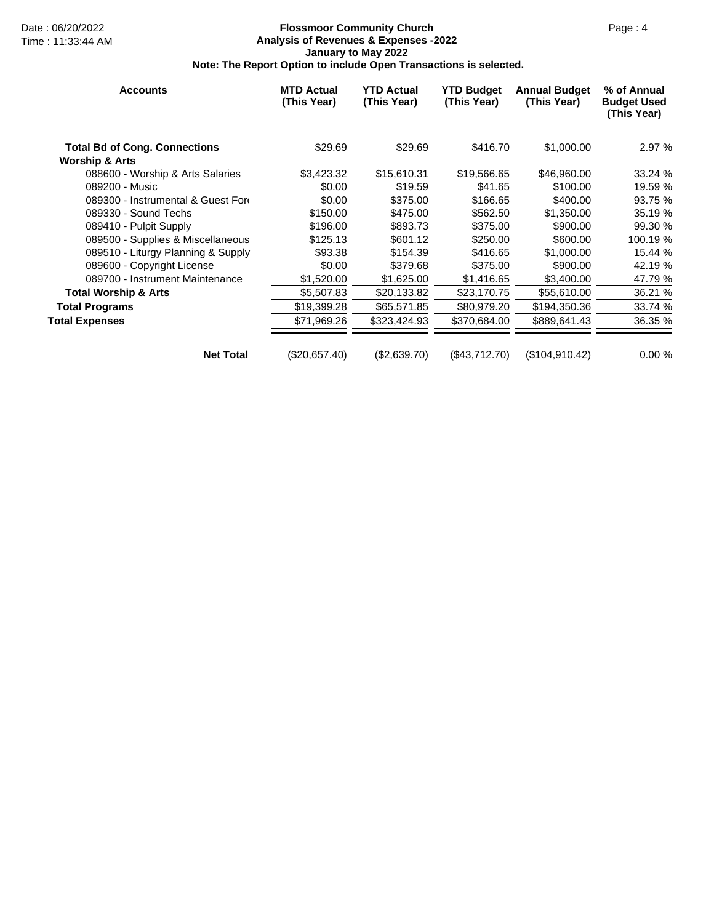# Date : 06/20/2022 Page : 4 **Flossmoor Community Church Analysis of Revenues & Expenses -2022 January to May 2022 Note: The Report Option to include Open Transactions is selected.**

| <b>Accounts</b>                      | <b>MTD Actual</b><br>(This Year) | <b>YTD Actual</b><br>(This Year) | <b>YTD Budget</b><br>(This Year) | <b>Annual Budget</b><br>(This Year) | % of Annual<br><b>Budget Used</b><br>(This Year) |
|--------------------------------------|----------------------------------|----------------------------------|----------------------------------|-------------------------------------|--------------------------------------------------|
| <b>Total Bd of Cong. Connections</b> | \$29.69                          | \$29.69                          | \$416.70                         | \$1,000.00                          | 2.97 %                                           |
| <b>Worship &amp; Arts</b>            |                                  |                                  |                                  |                                     |                                                  |
| 088600 - Worship & Arts Salaries     | \$3,423.32                       | \$15,610.31                      | \$19,566.65                      | \$46,960.00                         | 33.24 %                                          |
| 089200 - Music                       | \$0.00                           | \$19.59                          | \$41.65                          | \$100.00                            | 19.59 %                                          |
| 089300 - Instrumental & Guest Ford   | \$0.00                           | \$375.00                         | \$166.65                         | \$400.00                            | 93.75 %                                          |
| 089330 - Sound Techs                 | \$150.00                         | \$475.00                         | \$562.50                         | \$1,350.00                          | 35.19 %                                          |
| 089410 - Pulpit Supply               | \$196.00                         | \$893.73                         | \$375.00                         | \$900.00                            | 99.30 %                                          |
| 089500 - Supplies & Miscellaneous    | \$125.13                         | \$601.12                         | \$250.00                         | \$600.00                            | 100.19 %                                         |
| 089510 - Liturgy Planning & Supply   | \$93.38                          | \$154.39                         | \$416.65                         | \$1,000.00                          | 15.44 %                                          |
| 089600 - Copyright License           | \$0.00                           | \$379.68                         | \$375.00                         | \$900.00                            | 42.19 %                                          |
| 089700 - Instrument Maintenance      | \$1,520.00                       | \$1,625.00                       | \$1,416.65                       | \$3,400.00                          | 47.79 %                                          |
| <b>Total Worship &amp; Arts</b>      | \$5,507.83                       | \$20,133.82                      | \$23,170.75                      | \$55,610.00                         | 36.21 %                                          |
| <b>Total Programs</b>                | \$19,399.28                      | \$65,571.85                      | \$80,979.20                      | \$194,350.36                        | 33.74 %                                          |
| <b>Total Expenses</b>                | \$71,969.26                      | \$323,424.93                     | \$370,684.00                     | \$889,641.43                        | 36.35 %                                          |
| <b>Net Total</b>                     | (\$20,657.40)                    | (\$2,639.70)                     | (\$43,712.70)                    | (\$104,910.42)                      | 0.00%                                            |